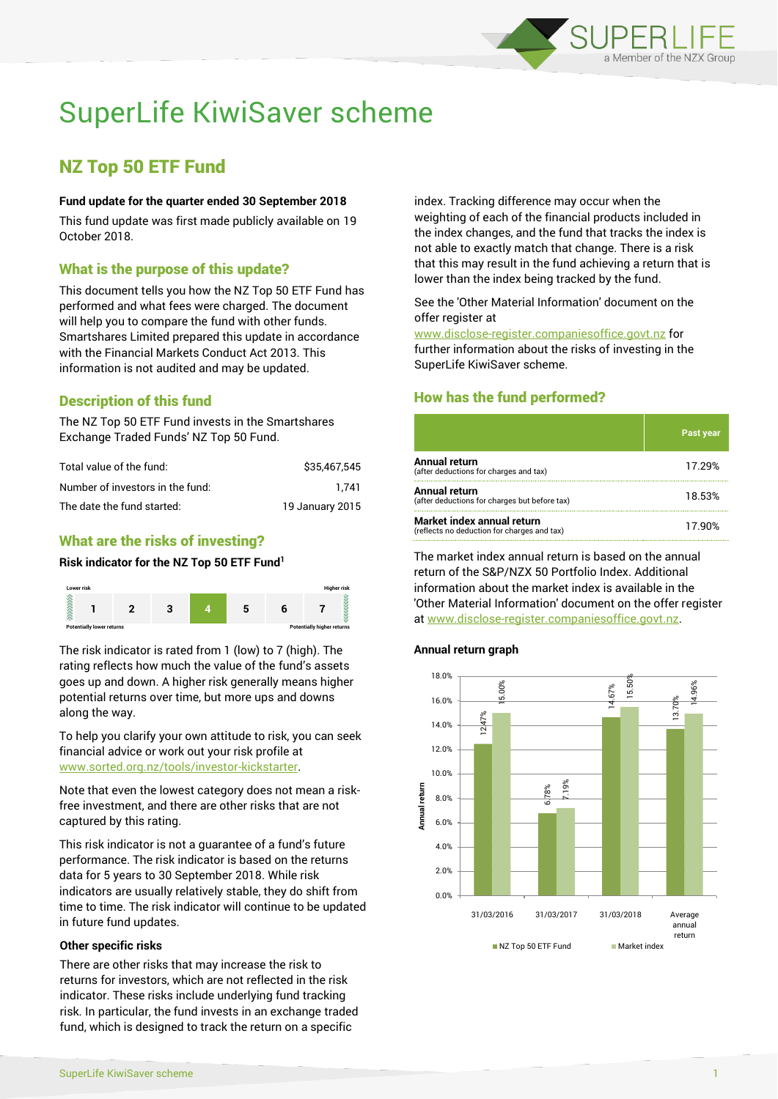

# SuperLife KiwiSaver scheme

# NZ Top 50 ETF Fund

#### **Fund update for the quarter ended 30 September 2018**

This fund update was first made publicly available on 19 October 2018.

# What is the purpose of this update?

This document tells you how the NZ Top 50 ETF Fund has performed and what fees were charged. The document will help you to compare the fund with other funds. Smartshares Limited prepared this update in accordance with the Financial Markets Conduct Act 2013. This information is not audited and may be updated.

# Description of this fund

The NZ Top 50 ETF Fund invests in the Smartshares Exchange Traded Funds' NZ Top 50 Fund.

| Total value of the fund:         | \$35,467,545    |
|----------------------------------|-----------------|
| Number of investors in the fund: | 1.741           |
| The date the fund started:       | 19 January 2015 |

# What are the risks of investing?

#### **Risk indicator for the NZ Top 50 ETF Fund<sup>1</sup>**



The risk indicator is rated from 1 (low) to 7 (high). The rating reflects how much the value of the fund's assets goes up and down. A higher risk generally means higher potential returns over time, but more ups and downs along the way.

To help you clarify your own attitude to risk, you can seek financial advice or work out your risk profile at [www.sorted.org.nz/tools/investor-kickstarter.](http://www.sorted.org.nz/tools/investor-kickstarter)

Note that even the lowest category does not mean a riskfree investment, and there are other risks that are not captured by this rating.

This risk indicator is not a guarantee of a fund's future performance. The risk indicator is based on the returns data for 5 years to 30 September 2018. While risk indicators are usually relatively stable, they do shift from time to time. The risk indicator will continue to be updated in future fund updates.

#### **Other specific risks**

There are other risks that may increase the risk to returns for investors, which are not reflected in the risk indicator. These risks include underlying fund tracking risk. In particular, the fund invests in an exchange traded fund, which is designed to track the return on a specific

index. Tracking difference may occur when the weighting of each of the financial products included in the index changes, and the fund that tracks the index is not able to exactly match that change. There is a risk that this may result in the fund achieving a return that is lower than the index being tracked by the fund.

#### See the 'Other Material Information' document on the offer register at

www.disclose-register.companiesoffice.govt.nz for further information about the risks of investing in the SuperLife KiwiSaver scheme.

# How has the fund performed?

|                                                                           | <b>Past year</b> |
|---------------------------------------------------------------------------|------------------|
| <b>Annual return</b><br>(after deductions for charges and tax)            | 17.29%           |
| Annual return<br>(after deductions for charges but before tax)            | 18.53%           |
| Market index annual return<br>(reflects no deduction for charges and tax) | 17.90%           |

The market index annual return is based on the annual return of the S&P/NZX 50 Portfolio Index. Additional information about the market index is available in the 'Other Material Information' document on the offer register at www.disclose-register.companiesoffice.govt.nz.

#### **Annual return graph**

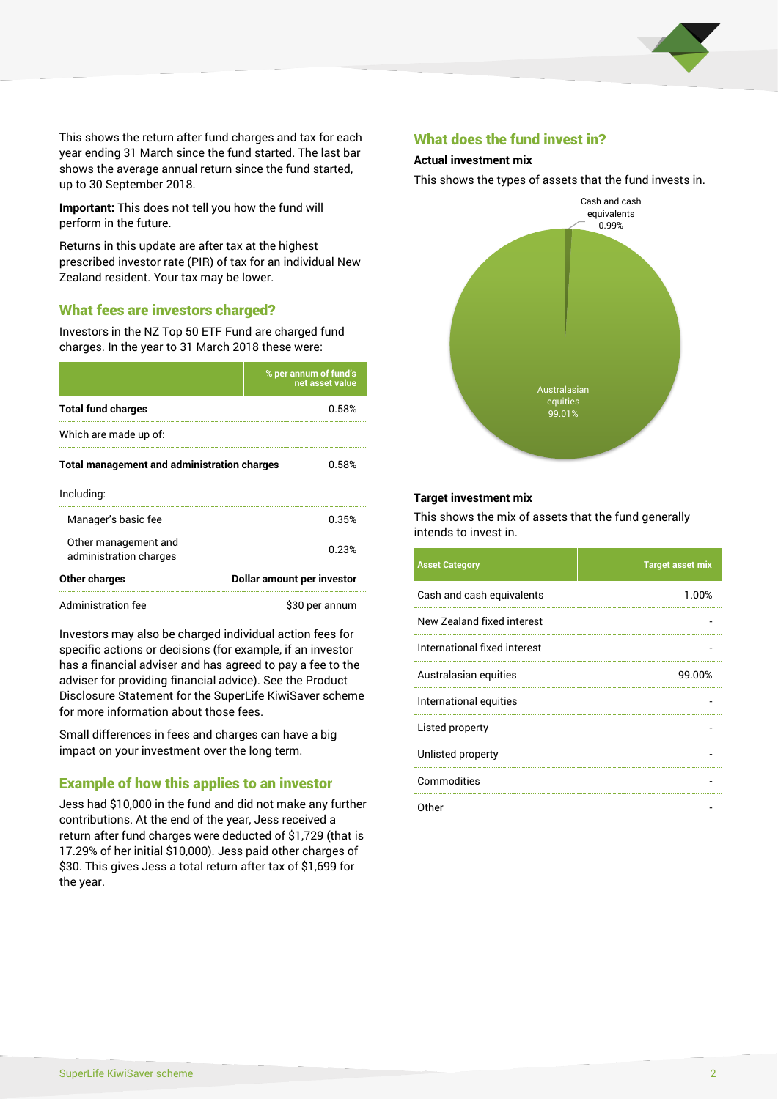

This shows the return after fund charges and tax for each year ending 31 March since the fund started. The last bar shows the average annual return since the fund started, up to 30 September 2018.

**Important:** This does not tell you how the fund will perform in the future.

Returns in this update are after tax at the highest prescribed investor rate (PIR) of tax for an individual New Zealand resident. Your tax may be lower.

# What fees are investors charged?

Investors in the NZ Top 50 ETF Fund are charged fund charges. In the year to 31 March 2018 these were:

|                                                    | % per annum of fund's<br>net asset value |  |
|----------------------------------------------------|------------------------------------------|--|
| <b>Total fund charges</b>                          | 0.58%                                    |  |
| Which are made up of:                              |                                          |  |
| <b>Total management and administration charges</b> | 0.58%                                    |  |
| Including:                                         |                                          |  |
| Manager's basic fee                                | 0.35%                                    |  |
| Other management and<br>administration charges     | 0.23%                                    |  |
| Other charges                                      | Dollar amount per investor               |  |
| Administration fee                                 | \$30 per annum                           |  |

Investors may also be charged individual action fees for specific actions or decisions (for example, if an investor has a financial adviser and has agreed to pay a fee to the adviser for providing financial advice). See the Product Disclosure Statement for the SuperLife KiwiSaver scheme for more information about those fees.

Small differences in fees and charges can have a big impact on your investment over the long term.

## Example of how this applies to an investor

Jess had \$10,000 in the fund and did not make any further contributions. At the end of the year, Jess received a return after fund charges were deducted of \$1,729 (that is 17.29% of her initial \$10,000). Jess paid other charges of \$30. This gives Jess a total return after tax of \$1,699 for the year.

## What does the fund invest in?

#### **Actual investment mix**

This shows the types of assets that the fund invests in.



#### **Target investment mix**

This shows the mix of assets that the fund generally intends to invest in.

| <b>Asset Category</b>        | <b>Target asset mix</b> |
|------------------------------|-------------------------|
| Cash and cash equivalents    | 1.00%                   |
| New Zealand fixed interest   |                         |
| International fixed interest |                         |
| Australasian equities        | 99.00%                  |
| International equities       |                         |
| Listed property              |                         |
| Unlisted property            |                         |
| Commodities                  |                         |
| Other                        |                         |